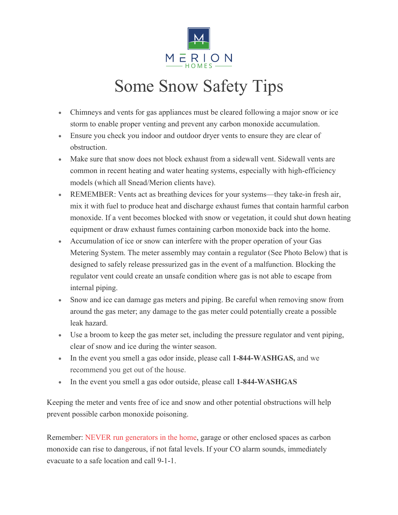

## Some Snow Safety Tips

- Chimneys and vents for gas appliances must be cleared following a major snow or ice storm to enable proper venting and prevent any carbon monoxide accumulation.
- Ensure you check you indoor and outdoor dryer vents to ensure they are clear of obstruction.
- Make sure that snow does not block exhaust from a sidewall vent. Sidewall vents are common in recent heating and water heating systems, especially with high-efficiency models (which all Snead/Merion clients have).
- REMEMBER: Vents act as breathing devices for your systems—they take-in fresh air, mix it with fuel to produce heat and discharge exhaust fumes that contain harmful carbon monoxide. If a vent becomes blocked with snow or vegetation, it could shut down heating equipment or draw exhaust fumes containing carbon monoxide back into the home.
- Accumulation of ice or snow can interfere with the proper operation of your Gas Metering System. The meter assembly may contain a regulator (See Photo Below) that is designed to safely release pressurized gas in the event of a malfunction. Blocking the regulator vent could create an unsafe condition where gas is not able to escape from internal piping.
- Snow and ice can damage gas meters and piping. Be careful when removing snow from around the gas meter; any damage to the gas meter could potentially create a possible leak hazard.
- Use a broom to keep the gas meter set, including the pressure regulator and vent piping, clear of snow and ice during the winter season.
- In the event you smell a gas odor inside, please call **1-844-WASHGAS,** and we recommend you get out of the house.
- In the event you smell a gas odor outside, please call **1-844-WASHGAS**

Keeping the meter and vents free of ice and snow and other potential obstructions will help prevent possible carbon monoxide poisoning.

Remember: NEVER run generators in the home, garage or other enclosed spaces as carbon monoxide can rise to dangerous, if not fatal levels. If your CO alarm sounds, immediately evacuate to a safe location and call 9-1-1.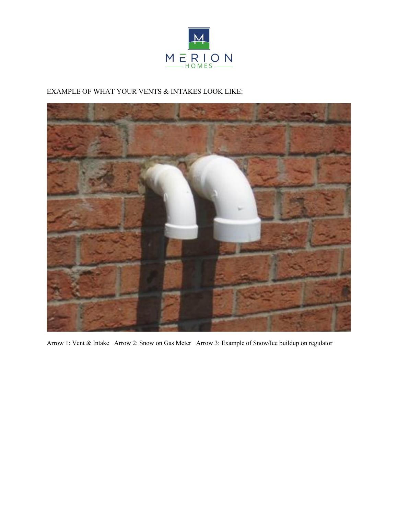

## EXAMPLE OF WHAT YOUR VENTS & INTAKES LOOK LIKE:



Arrow 1: Vent & Intake Arrow 2: Snow on Gas Meter Arrow 3: Example of Snow/Ice buildup on regulator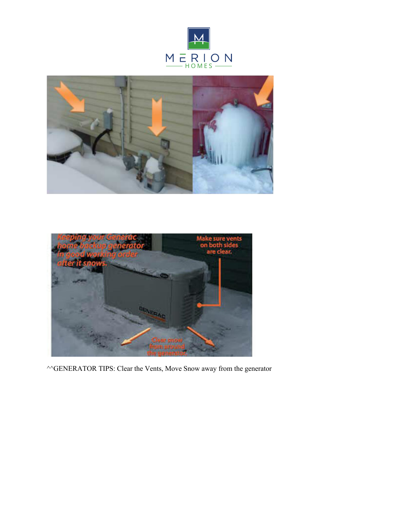





 $\triangle$ <sup> $\triangle$ </sup>GENERATOR TIPS: Clear the Vents, Move Snow away from the generator